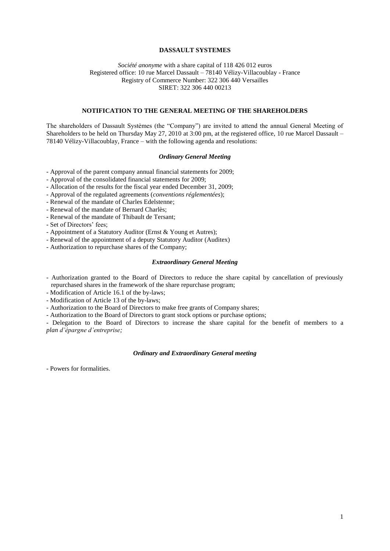## **DASSAULT SYSTEMES**

*Société anonyme* with a share capital of 118 426 012 euros Registered office: 10 rue Marcel Dassault – 78140 Vélizy-Villacoublay - France Registry of Commerce Number: 322 306 440 Versailles SIRET: 322 306 440 00213

# **NOTIFICATION TO THE GENERAL MEETING OF THE SHAREHOLDERS**

The shareholders of Dassault Systèmes (the "Company") are invited to attend the annual General Meeting of Shareholders to be held on Thursday May 27, 2010 at 3:00 pm, at the registered office, 10 rue Marcel Dassault – 78140 Vélizy-Villacoublay, France – with the following agenda and resolutions:

# *Ordinary General Meeting*

- Approval of the parent company annual financial statements for 2009;

- Approval of the consolidated financial statements for 2009;

- Allocation of the results for the fiscal year ended December 31, 2009;
- Approval of the regulated agreements (*conventions réglementées*);
- Renewal of the mandate of Charles Edelstenne;
- Renewal of the mandate of Bernard Charlès;
- Renewal of the mandate of Thibault de Tersant;

- Set of Directors' fees;

- Appointment of a Statutory Auditor (Ernst & Young et Autres);
- Renewal of the appointment of a deputy Statutory Auditor (Auditex)
- Authorization to repurchase shares of the Company;

# *Extraordinary General Meeting*

- Authorization granted to the Board of Directors to reduce the share capital by cancellation of previously repurchased shares in the framework of the share repurchase program;

- Modification of Article 16.1 of the by-laws;

- Modification of Article 13 of the by-laws;

- Authorization to the Board of Directors to make free grants of Company shares;

- Authorization to the Board of Directors to grant stock options or purchase options;

- Delegation to the Board of Directors to increase the share capital for the benefit of members to a *plan d'épargne d'entreprise;*

#### *Ordinary and Extraordinary General meeting*

- Powers for formalities.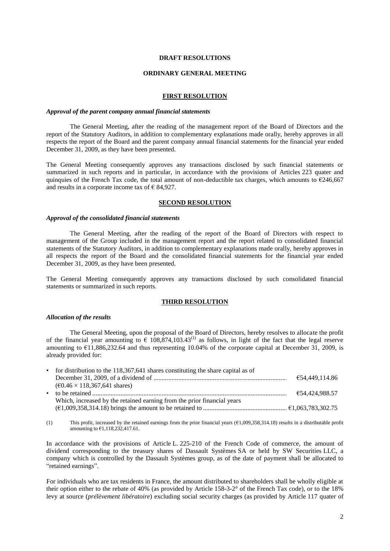## **DRAFT RESOLUTIONS**

### **ORDINARY GENERAL MEETING**

## **FIRST RESOLUTION**

## *Approval of the parent company annual financial statements*

The General Meeting, after the reading of the management report of the Board of Directors and the report of the Statutory Auditors, in addition to complementary explanations made orally, hereby approves in all respects the report of the Board and the parent company annual financial statements for the financial year ended December 31, 2009, as they have been presented.

The General Meeting consequently approves any transactions disclosed by such financial statements or summarized in such reports and in particular, in accordance with the provisions of Articles 223 quater and quinquies of the French Tax code, the total amount of non-deductible tax charges, which amounts to  $\epsilon$ 246,667 and results in a corporate income tax of  $\epsilon$  84,927.

#### **SECOND RESOLUTION**

## *Approval of the consolidated financial statements*

The General Meeting, after the reading of the report of the Board of Directors with respect to management of the Group included in the management report and the report related to consolidated financial statements of the Statutory Auditors, in addition to complementary explanations made orally, hereby approves in all respects the report of the Board and the consolidated financial statements for the financial year ended December 31, 2009, as they have been presented.

The General Meeting consequently approves any transactions disclosed by such consolidated financial statements or summarized in such reports.

### **THIRD RESOLUTION**

#### *Allocation of the results*

The General Meeting, upon the proposal of the Board of Directors, hereby resolves to allocate the profit of the financial year amounting to  $\epsilon$  108,874,103.43<sup>(1)</sup> as follows, in light of the fact that the legal reserve amounting to €11,886,232.64 and thus representing 10.04% of the corporate capital at December 31, 2009, is already provided for:

| • for distribution to the 118,367,641 shares constituting the share capital as of |                |
|-----------------------------------------------------------------------------------|----------------|
|                                                                                   | €54.449.114.86 |
| $(60.46 \times 118.367.641$ shares)                                               |                |
|                                                                                   | €54.424.988.57 |
| Which, increased by the retained earning from the prior financial years           |                |
|                                                                                   |                |

(1) This profit, increased by the retained earnings from the prior financial years (€1,009,358,314.18) results in a distributable profit amounting to  $\epsilon$ 1.118,232,417.61.

In accordance with the provisions of Article L. 225-210 of the French Code of commerce, the amount of dividend corresponding to the treasury shares of Dassault Systèmes SA or held by SW Securities LLC, a company which is controlled by the Dassault Systèmes group, as of the date of payment shall be allocated to "retained earnings".

For individuals who are tax residents in France, the amount distributed to shareholders shall be wholly eligible at their option either to the rebate of 40% (as provided by Article 158-3-2° of the French Tax code), or to the 18% levy at source (*prélèvement libératoire*) excluding social security charges (as provided by Article 117 quater of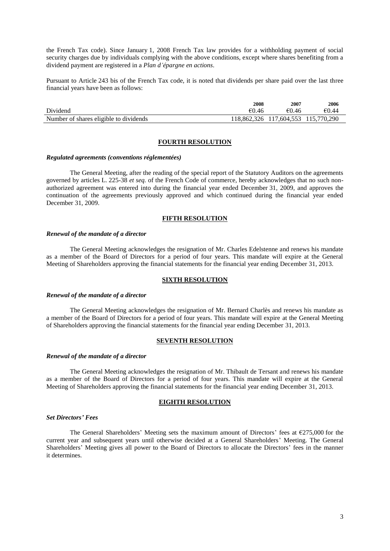the French Tax code). Since January 1, 2008 French Tax law provides for a withholding payment of social security charges due by individuals complying with the above conditions, except where shares benefiting from a dividend payment are registered in a *Plan d'épargne en actions*.

Pursuant to Article 243 bis of the French Tax code, it is noted that dividends per share paid over the last three financial years have been as follows:

|                                        | 2008  | 2007                                | 2006  |
|----------------------------------------|-------|-------------------------------------|-------|
| Dividend                               | €0.46 | €0.46                               | €0.44 |
| Number of shares eligible to dividends |       | 118.862.326 117.604.553 115.770.290 |       |

## **FOURTH RESOLUTION**

### *Regulated agreements (conventions réglementées)*

The General Meeting, after the reading of the special report of the Statutory Auditors on the agreements governed by articles L. 225-38 *et seq.* of the French Code of commerce, hereby acknowledges that no such nonauthorized agreement was entered into during the financial year ended December 31, 2009, and approves the continuation of the agreements previously approved and which continued during the financial year ended December 31, 2009.

## **FIFTH RESOLUTION**

## *Renewal of the mandate of a director*

The General Meeting acknowledges the resignation of Mr. Charles Edelstenne and renews his mandate as a member of the Board of Directors for a period of four years. This mandate will expire at the General Meeting of Shareholders approving the financial statements for the financial year ending December 31, 2013.

# **SIXTH RESOLUTION**

#### *Renewal of the mandate of a director*

The General Meeting acknowledges the resignation of Mr. Bernard Charlès and renews his mandate as a member of the Board of Directors for a period of four years. This mandate will expire at the General Meeting of Shareholders approving the financial statements for the financial year ending December 31, 2013.

#### **SEVENTH RESOLUTION**

#### *Renewal of the mandate of a director*

The General Meeting acknowledges the resignation of Mr. Thibault de Tersant and renews his mandate as a member of the Board of Directors for a period of four years. This mandate will expire at the General Meeting of Shareholders approving the financial statements for the financial year ending December 31, 2013.

### **EIGHTH RESOLUTION**

### *Set Directors' Fees*

The General Shareholders' Meeting sets the maximum amount of Directors' fees at  $\epsilon$ 275,000 for the current year and subsequent years until otherwise decided at a General Shareholders' Meeting. The General Shareholders' Meeting gives all power to the Board of Directors to allocate the Directors' fees in the manner it determines.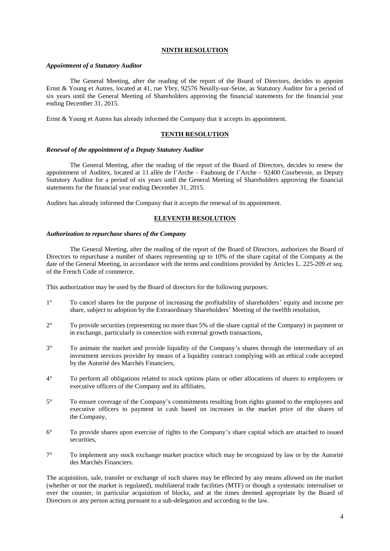# **NINTH RESOLUTION**

### *Appointment of a Statutory Auditor*

The General Meeting, after the reading of the report of the Board of Directors, decides to appoint Ernst & Young et Autres, located at 41, rue Ybry, 92576 Neuilly-sur-Seine, as Statutory Auditor for a period of six years until the General Meeting of Shareholders approving the financial statements for the financial year ending December 31, 2015.

Ernst & Young et Autres has already informed the Company that it accepts its appointment.

## **TENTH RESOLUTION**

# *Renewal of the appointment of a Deputy Statutory Auditor*

The General Meeting, after the reading of the report of the Board of Directors, decides to renew the appointment of Auditex, located at 11 allée de l'Arche – Faubourg de l'Arche – 92400 Courbevoie, as Deputy Statutory Auditor for a period of six years until the General Meeting of Shareholders approving the financial statements for the financial year ending December 31, 2015.

Auditex has already informed the Company that it accepts the renewal of its appointment.

# **ELEVENTH RESOLUTION**

# *Authorization to repurchase shares of the Company*

The General Meeting, after the reading of the report of the Board of Directors, authorizes the Board of Directors to repurchase a number of shares representing up to 10% of the share capital of the Company at the date of the General Meeting, in accordance with the terms and conditions provided by Articles L. 225-209 *et seq.* of the French Code of commerce.

This authorization may be used by the Board of directors for the following purposes:

- 1° To cancel shares for the purpose of increasing the profitability of shareholders' equity and income per share, subject to adoption by the Extraordinary Shareholders' Meeting of the twelfth resolution,
- 2° To provide securities (representing no more than 5% of the share capital of the Company) in payment or in exchange, particularly in connection with external growth transactions,
- 3° To animate the market and provide liquidity of the Company's shares through the intermediary of an investment services provider by means of a liquidity contract complying with an ethical code accepted by the Autorité des Marchés Financiers,
- 4° To perform all obligations related to stock options plans or other allocations of shares to employees or executive officers of the Company and its affiliates,
- 5° To ensure coverage of the Company's commitments resulting from rights granted to the employees and executive officers to payment in cash based on increases in the market price of the shares of the Company,
- 6° To provide shares upon exercise of rights to the Company's share capital which are attached to issued securities.
- 7° To implement any stock exchange market practice which may be recognized by law or by the Autorité des Marchés Financiers.

The acquisition, sale, transfer or exchange of such shares may be effected by any means allowed on the market (whether or not the market is regulated), multilateral trade facilities (MTF) or though a systematic internaliser or over the counter, in particular acquisition of blocks, and at the times deemed appropriate by the Board of Directors or any person acting pursuant to a sub-delegation and according to the law.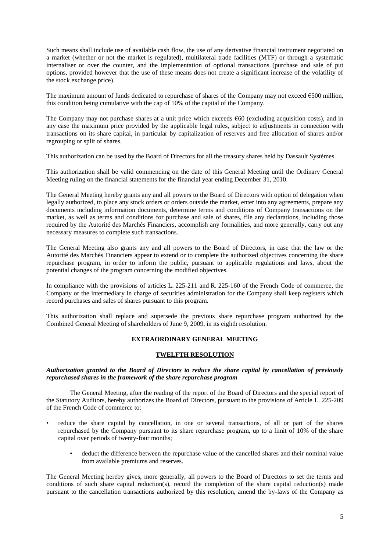Such means shall include use of available cash flow, the use of any derivative financial instrument negotiated on a market (whether or not the market is regulated), multilateral trade facilities (MTF) or through a systematic internaliser or over the counter, and the implementation of optional transactions (purchase and sale of put options, provided however that the use of these means does not create a significant increase of the volatility of the stock exchange price).

The maximum amount of funds dedicated to repurchase of shares of the Company may not exceed  $\epsilon$ 500 million, this condition being cumulative with the cap of 10% of the capital of the Company.

The Company may not purchase shares at a unit price which exceeds  $\epsilon$ 60 (excluding acquisition costs), and in any case the maximum price provided by the applicable legal rules, subject to adjustments in connection with transactions on its share capital, in particular by capitalization of reserves and free allocation of shares and/or regrouping or split of shares.

This authorization can be used by the Board of Directors for all the treasury shares held by Dassault Systèmes.

This authorization shall be valid commencing on the date of this General Meeting until the Ordinary General Meeting ruling on the financial statements for the financial year ending December 31, 2010.

The General Meeting hereby grants any and all powers to the Board of Directors with option of delegation when legally authorized, to place any stock orders or orders outside the market, enter into any agreements, prepare any documents including information documents, determine terms and conditions of Company transactions on the market, as well as terms and conditions for purchase and sale of shares, file any declarations, including those required by the Autorité des Marchés Financiers, accomplish any formalities, and more generally, carry out any necessary measures to complete such transactions.

The General Meeting also grants any and all powers to the Board of Directors, in case that the law or the Autorité des Marchés Financiers appear to extend or to complete the authorized objectives concerning the share repurchase program, in order to inform the public, pursuant to applicable regulations and laws, about the potential changes of the program concerning the modified objectives.

In compliance with the provisions of articles L. 225-211 and R. 225-160 of the French Code of commerce, the Company or the intermediary in charge of securities administration for the Company shall keep registers which record purchases and sales of shares pursuant to this program.

This authorization shall replace and supersede the previous share repurchase program authorized by the Combined General Meeting of shareholders of June 9, 2009, in its eighth resolution.

# **EXTRAORDINARY GENERAL MEETING**

# **TWELFTH RESOLUTION**

# *Authorization granted to the Board of Directors to reduce the share capital by cancellation of previously repurchased shares in the framework of the share repurchase program*

The General Meeting, after the reading of the report of the Board of Directors and the special report of the Statutory Auditors, hereby authorizes the Board of Directors, pursuant to the provisions of Article L. 225-209 of the French Code of commerce to:

- reduce the share capital by cancellation, in one or several transactions, of all or part of the shares repurchased by the Company pursuant to its share repurchase program, up to a limit of 10% of the share capital over periods of twenty-four months;
	- deduct the difference between the repurchase value of the cancelled shares and their nominal value from available premiums and reserves.

The General Meeting hereby gives, more generally, all powers to the Board of Directors to set the terms and conditions of such share capital reduction(s), record the completion of the share capital reduction(s) made pursuant to the cancellation transactions authorized by this resolution, amend the by-laws of the Company as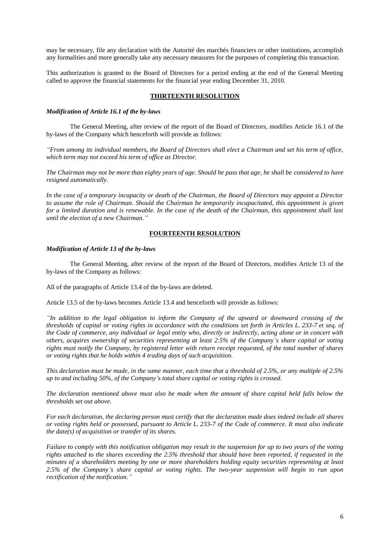may be necessary, file any declaration with the Autorité des marchés financiers or other institutions, accomplish any formalities and more generally take any necessary measures for the purposes of completing this transaction.

This authorization is granted to the Board of Directors for a period ending at the end of the General Meeting called to approve the financial statements for the financial year ending December 31, 2010.

# **THIRTEENTH RESOLUTION**

# *Modification of Article 16.1 of the by-laws*

The General Meeting, after review of the report of the Board of Directors, modifies Article 16.1 of the by-laws of the Company which henceforth will provide as follows:

*"From among its individual members, the Board of Directors shall elect a Chairman and set his term of office, which term may not exceed his term of office as Director.*

*The Chairman may not be more than eighty years of age. Should he pass that age, he shall be considered to have resigned automatically.*

*In the case of a temporary incapacity or death of the Chairman, the Board of Directors may appoint a Director to assume the role of Chairman. Should the Chairman be temporarily incapacitated, this appointment is given for a limited duration and is renewable. In the case of the death of the Chairman, this appointment shall last until the election of a new Chairman."*

## **FOURTEENTH RESOLUTION**

### *Modification of Article 13 of the by-laws*

The General Meeting, after review of the report of the Board of Directors, modifies Article 13 of the by-laws of the Company as follows:

All of the paragraphs of Article 13.4 of the by-laws are deleted.

Article 13.5 of the by-laws becomes Article 13.4 and henceforth will provide as follows:

*"In addition to the legal obligation to inform the Company of the upward or downward crossing of the thresholds of capital or voting rights in accordance with the conditions set forth in Articles L. 233-7 et seq. of the Code of commerce, any individual or legal entity who, directly or indirectly, acting alone or in concert with others, acquires ownership of securities representing at least 2.5% of the Company's share capital or voting rights must notify the Company, by registered letter with return receipt requested, of the total number of shares or voting rights that he holds within 4 trading days of such acquisition.*

*This declaration must be made, in the same manner, each time that a threshold of 2.5%, or any multiple of 2.5% up to and including 50%, of the Company's total share capital or voting rights is crossed.* 

*The declaration mentioned above must also be made when the amount of share capital held falls below the thresholds set out above.*

*For each declaration, the declaring person must certify that the declaration made does indeed include all shares or voting rights held or possessed, pursuant to Article L. 233-7 of the Code of commerce. It must also indicate the date(s) of acquisition or transfer of its shares.*

*Failure to comply with this notification obligation may result in the suspension for up to two years of the voting rights attached to the shares exceeding the 2.5% threshold that should have been reported, if requested in the minutes of a shareholders meeting by one or more shareholders holding equity securities representing at least 2.5% of the Company's share capital or voting rights. The two-year suspension will begin to run upon rectification of the notification."*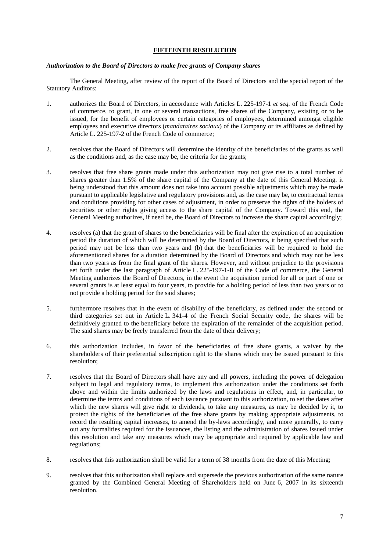# **FIFTEENTH RESOLUTION**

# *Authorization to the Board of Directors to make free grants of Company shares*

The General Meeting, after review of the report of the Board of Directors and the special report of the Statutory Auditors:

- 1. authorizes the Board of Directors, in accordance with Articles L. 225-197-1 *et seq.* of the French Code of commerce, to grant, in one or several transactions, free shares of the Company, existing or to be issued, for the benefit of employees or certain categories of employees, determined amongst eligible employees and executive directors (*mandataires sociaux*) of the Company or its affiliates as defined by Article L. 225-197-2 of the French Code of commerce;
- 2. resolves that the Board of Directors will determine the identity of the beneficiaries of the grants as well as the conditions and, as the case may be, the criteria for the grants;
- 3. resolves that free share grants made under this authorization may not give rise to a total number of shares greater than 1.5% of the share capital of the Company at the date of this General Meeting, it being understood that this amount does not take into account possible adjustments which may be made pursuant to applicable legislative and regulatory provisions and, as the case may be, to contractual terms and conditions providing for other cases of adjustment, in order to preserve the rights of the holders of securities or other rights giving access to the share capital of the Company. Toward this end, the General Meeting authorizes, if need be, the Board of Directors to increase the share capital accordingly;
- 4. resolves (a) that the grant of shares to the beneficiaries will be final after the expiration of an acquisition period the duration of which will be determined by the Board of Directors, it being specified that such period may not be less than two years and (b) that the beneficiaries will be required to hold the aforementioned shares for a duration determined by the Board of Directors and which may not be less than two years as from the final grant of the shares. However, and without prejudice to the provisions set forth under the last paragraph of Article L. 225-197-1-II of the Code of commerce, the General Meeting authorizes the Board of Directors, in the event the acquisition period for all or part of one or several grants is at least equal to four years, to provide for a holding period of less than two years or to not provide a holding period for the said shares;
- 5. furthermore resolves that in the event of disability of the beneficiary, as defined under the second or third categories set out in Article L. 341-4 of the French Social Security code, the shares will be definitively granted to the beneficiary before the expiration of the remainder of the acquisition period. The said shares may be freely transferred from the date of their delivery;
- 6. this authorization includes, in favor of the beneficiaries of free share grants, a waiver by the shareholders of their preferential subscription right to the shares which may be issued pursuant to this resolution;
- 7. resolves that the Board of Directors shall have any and all powers, including the power of delegation subject to legal and regulatory terms, to implement this authorization under the conditions set forth above and within the limits authorized by the laws and regulations in effect, and, in particular, to determine the terms and conditions of each issuance pursuant to this authorization, to set the dates after which the new shares will give right to dividends, to take any measures, as may be decided by it, to protect the rights of the beneficiaries of the free share grants by making appropriate adjustments, to record the resulting capital increases, to amend the by-laws accordingly, and more generally, to carry out any formalities required for the issuances, the listing and the administration of shares issued under this resolution and take any measures which may be appropriate and required by applicable law and regulations;
- 8. resolves that this authorization shall be valid for a term of 38 months from the date of this Meeting;
- 9. resolves that this authorization shall replace and supersede the previous authorization of the same nature granted by the Combined General Meeting of Shareholders held on June 6, 2007 in its sixteenth resolution.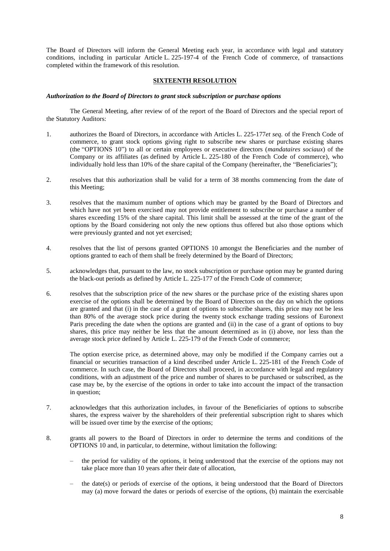The Board of Directors will inform the General Meeting each year, in accordance with legal and statutory conditions, including in particular Article L. 225-197-4 of the French Code of commerce, of transactions completed within the framework of this resolution.

# **SIXTEENTH RESOLUTION**

# *Authorization to the Board of Directors to grant stock subscription or purchase options*

The General Meeting, after review of of the report of the Board of Directors and the special report of the Statutory Auditors:

- 1. authorizes the Board of Directors, in accordance with Articles L. 225-177*et seq.* of the French Code of commerce, to grant stock options giving right to subscribe new shares or purchase existing shares (the "OPTIONS 10") to all or certain employees or executive directors (*mandataires sociaux*) of the Company or its affiliates (as defined by Article L. 225-180 of the French Code of commerce), who individually hold less than 10% of the share capital of the Company (hereinafter, the "Beneficiaries");
- 2. resolves that this authorization shall be valid for a term of 38 months commencing from the date of this Meeting;
- 3. resolves that the maximum number of options which may be granted by the Board of Directors and which have not yet been exercised may not provide entitlement to subscribe or purchase a number of shares exceeding 15% of the share capital. This limit shall be assessed at the time of the grant of the options by the Board considering not only the new options thus offered but also those options which were previously granted and not yet exercised;
- 4. resolves that the list of persons granted OPTIONS 10 amongst the Beneficiaries and the number of options granted to each of them shall be freely determined by the Board of Directors;
- 5. acknowledges that, pursuant to the law, no stock subscription or purchase option may be granted during the black-out periods as defined by Article L. 225-177 of the French Code of commerce;
- 6. resolves that the subscription price of the new shares or the purchase price of the existing shares upon exercise of the options shall be determined by the Board of Directors on the day on which the options are granted and that (i) in the case of a grant of options to subscribe shares, this price may not be less than 80% of the average stock price during the twenty stock exchange trading sessions of Euronext Paris preceding the date when the options are granted and (ii) in the case of a grant of options to buy shares, this price may neither be less that the amount determined as in (i) above, nor less than the average stock price defined by Article L. 225-179 of the French Code of commerce;

The option exercise price, as determined above, may only be modified if the Company carries out a financial or securities transaction of a kind described under Article L. 225-181 of the French Code of commerce. In such case, the Board of Directors shall proceed, in accordance with legal and regulatory conditions, with an adjustment of the price and number of shares to be purchased or subscribed, as the case may be, by the exercise of the options in order to take into account the impact of the transaction in question;

- 7. acknowledges that this authorization includes, in favour of the Beneficiaries of options to subscribe shares, the express waiver by the shareholders of their preferential subscription right to shares which will be issued over time by the exercise of the options;
- 8. grants all powers to the Board of Directors in order to determine the terms and conditions of the OPTIONS 10 and, in particular, to determine, without limitation the following:
	- the period for validity of the options, it being understood that the exercise of the options may not take place more than 10 years after their date of allocation,
	- the date(s) or periods of exercise of the options, it being understood that the Board of Directors may (a) move forward the dates or periods of exercise of the options, (b) maintain the exercisable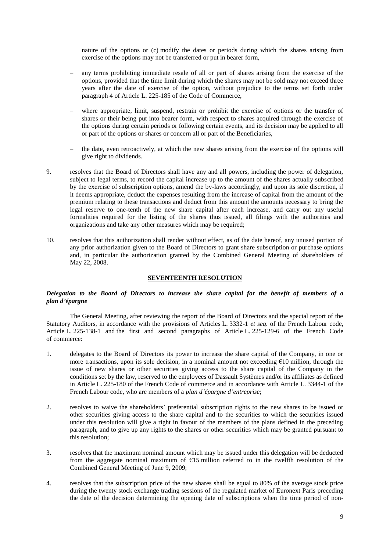nature of the options or (c) modify the dates or periods during which the shares arising from exercise of the options may not be transferred or put in bearer form,

- any terms prohibiting immediate resale of all or part of shares arising from the exercise of the options, provided that the time limit during which the shares may not be sold may not exceed three years after the date of exercise of the option, without prejudice to the terms set forth under paragraph 4 of Article L. 225-185 of the Code of Commerce,
- where appropriate, limit, suspend, restrain or prohibit the exercise of options or the transfer of shares or their being put into bearer form, with respect to shares acquired through the exercise of the options during certain periods or following certain events, and its decision may be applied to all or part of the options or shares or concern all or part of the Beneficiaries,
- the date, even retroactively, at which the new shares arising from the exercise of the options will give right to dividends.
- 9. resolves that the Board of Directors shall have any and all powers, including the power of delegation, subject to legal terms, to record the capital increase up to the amount of the shares actually subscribed by the exercise of subscription options, amend the by-laws accordingly, and upon its sole discretion, if it deems appropriate, deduct the expenses resulting from the increase of capital from the amount of the premium relating to these transactions and deduct from this amount the amounts necessary to bring the legal reserve to one-tenth of the new share capital after each increase, and carry out any useful formalities required for the listing of the shares thus issued, all filings with the authorities and organizations and take any other measures which may be required;
- 10. resolves that this authorization shall render without effect, as of the date hereof, any unused portion of any prior authorization given to the Board of Directors to grant share subscription or purchase options and, in particular the authorization granted by the Combined General Meeting of shareholders of May 22, 2008.

# **SEVENTEENTH RESOLUTION**

# *Delegation to the Board of Directors to increase the share capital for the benefit of members of a plan d'épargne*

The General Meeting, after reviewing the report of the Board of Directors and the special report of the Statutory Auditors, in accordance with the provisions of Articles L. 3332-1 *et seq.* of the French Labour code, Article L. 225-138-1 and the first and second paragraphs of Article L. 225-129-6 of the French Code of commerce:

- 1. delegates to the Board of Directors its power to increase the share capital of the Company, in one or more transactions, upon its sole decision, in a nominal amount not exceeding  $\epsilon$ 10 million, through the issue of new shares or other securities giving access to the share capital of the Company in the conditions set by the law, reserved to the employees of Dassault Systèmes and/or its affiliates as defined in Article L. 225-180 of the French Code of commerce and in accordance with Article L. 3344-1 of the French Labour code, who are members of a *plan d'épargne d'entreprise*;
- 2. resolves to waive the shareholders' preferential subscription rights to the new shares to be issued or other securities giving access to the share capital and to the securities to which the securities issued under this resolution will give a right in favour of the members of the plans defined in the preceding paragraph, and to give up any rights to the shares or other securities which may be granted pursuant to this resolution;
- 3. resolves that the maximum nominal amount which may be issued under this delegation will be deducted from the aggregate nominal maximum of €15 million referred to in the twelfth resolution of the Combined General Meeting of June 9, 2009;
- 4. resolves that the subscription price of the new shares shall be equal to 80% of the average stock price during the twenty stock exchange trading sessions of the regulated market of Euronext Paris preceding the date of the decision determining the opening date of subscriptions when the time period of non-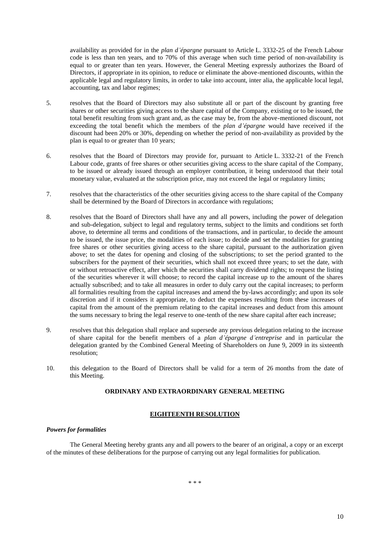availability as provided for in the *plan d'épargne* pursuant to Article L. 3332-25 of the French Labour code is less than ten years, and to 70% of this average when such time period of non-availability is equal to or greater than ten years. However, the General Meeting expressly authorizes the Board of Directors, if appropriate in its opinion, to reduce or eliminate the above-mentioned discounts, within the applicable legal and regulatory limits, in order to take into account, inter alia, the applicable local legal, accounting, tax and labor regimes;

- 5. resolves that the Board of Directors may also substitute all or part of the discount by granting free shares or other securities giving access to the share capital of the Company, existing or to be issued, the total benefit resulting from such grant and, as the case may be, from the above-mentioned discount, not exceeding the total benefit which the members of the *plan d'épargne* would have received if the discount had been 20% or 30%, depending on whether the period of non-availability as provided by the plan is equal to or greater than 10 years;
- 6. resolves that the Board of Directors may provide for, pursuant to Article L. 3332-21 of the French Labour code, grants of free shares or other securities giving access to the share capital of the Company, to be issued or already issued through an employer contribution, it being understood that their total monetary value, evaluated at the subscription price, may not exceed the legal or regulatory limits;
- 7. resolves that the characteristics of the other securities giving access to the share capital of the Company shall be determined by the Board of Directors in accordance with regulations;
- 8. resolves that the Board of Directors shall have any and all powers, including the power of delegation and sub-delegation, subject to legal and regulatory terms, subject to the limits and conditions set forth above, to determine all terms and conditions of the transactions, and in particular, to decide the amount to be issued, the issue price, the modalities of each issue; to decide and set the modalities for granting free shares or other securities giving access to the share capital, pursuant to the authorization given above; to set the dates for opening and closing of the subscriptions; to set the period granted to the subscribers for the payment of their securities, which shall not exceed three years; to set the date, with or without retroactive effect, after which the securities shall carry dividend rights; to request the listing of the securities wherever it will choose; to record the capital increase up to the amount of the shares actually subscribed; and to take all measures in order to duly carry out the capital increases; to perform all formalities resulting from the capital increases and amend the by-laws accordingly; and upon its sole discretion and if it considers it appropriate, to deduct the expenses resulting from these increases of capital from the amount of the premium relating to the capital increases and deduct from this amount the sums necessary to bring the legal reserve to one-tenth of the new share capital after each increase;
- 9. resolves that this delegation shall replace and supersede any previous delegation relating to the increase of share capital for the benefit members of a *plan d'épargne d'entreprise* and in particular the delegation granted by the Combined General Meeting of Shareholders on June 9, 2009 in its sixteenth resolution;
- 10. this delegation to the Board of Directors shall be valid for a term of 26 months from the date of this Meeting.

# **ORDINARY AND EXTRAORDINARY GENERAL MEETING**

## **EIGHTEENTH RESOLUTION**

### *Powers for formalities*

The General Meeting hereby grants any and all powers to the bearer of an original, a copy or an excerpt of the minutes of these deliberations for the purpose of carrying out any legal formalities for publication.